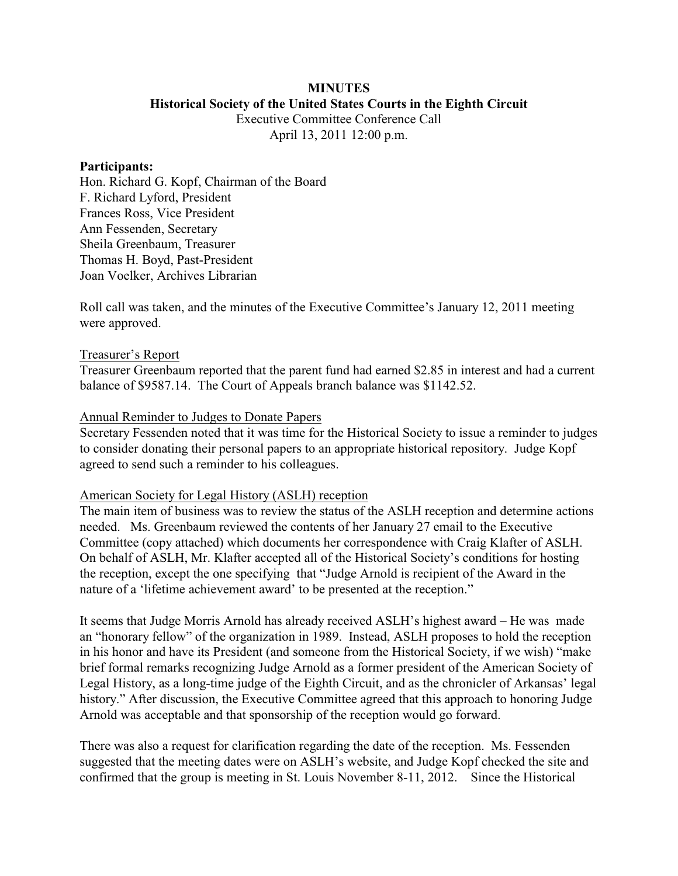# **MINUTES**

# **Historical Society of the United States Courts in the Eighth Circuit**

Executive Committee Conference Call April 13, 2011 12:00 p.m.

#### **Participants:**

Hon. Richard G. Kopf, Chairman of the Board F. Richard Lyford, President Frances Ross, Vice President Ann Fessenden, Secretary Sheila Greenbaum, Treasurer Thomas H. Boyd, Past-President Joan Voelker, Archives Librarian

Roll call was taken, and the minutes of the Executive Committee's January 12, 2011 meeting were approved.

#### Treasurer's Report

Treasurer Greenbaum reported that the parent fund had earned \$2.85 in interest and had a current balance of \$9587.14. The Court of Appeals branch balance was \$1142.52.

### Annual Reminder to Judges to Donate Papers

Secretary Fessenden noted that it was time for the Historical Society to issue a reminder to judges to consider donating their personal papers to an appropriate historical repository. Judge Kopf agreed to send such a reminder to his colleagues.

## American Society for Legal History (ASLH) reception

The main item of business was to review the status of the ASLH reception and determine actions needed. Ms. Greenbaum reviewed the contents of her January 27 email to the Executive Committee (copy attached) which documents her correspondence with Craig Klafter of ASLH. On behalf of ASLH, Mr. Klafter accepted all of the Historical Society's conditions for hosting the reception, except the one specifying that "Judge Arnold is recipient of the Award in the nature of a 'lifetime achievement award' to be presented at the reception."

It seems that Judge Morris Arnold has already received ASLH's highest award – He was made an "honorary fellow" of the organization in 1989. Instead, ASLH proposes to hold the reception in his honor and have its President (and someone from the Historical Society, if we wish) "make brief formal remarks recognizing Judge Arnold as a former president of the American Society of Legal History, as a long-time judge of the Eighth Circuit, and as the chronicler of Arkansas' legal history." After discussion, the Executive Committee agreed that this approach to honoring Judge Arnold was acceptable and that sponsorship of the reception would go forward.

There was also a request for clarification regarding the date of the reception. Ms. Fessenden suggested that the meeting dates were on ASLH's website, and Judge Kopf checked the site and confirmed that the group is meeting in St. Louis November 8-11, 2012. Since the Historical